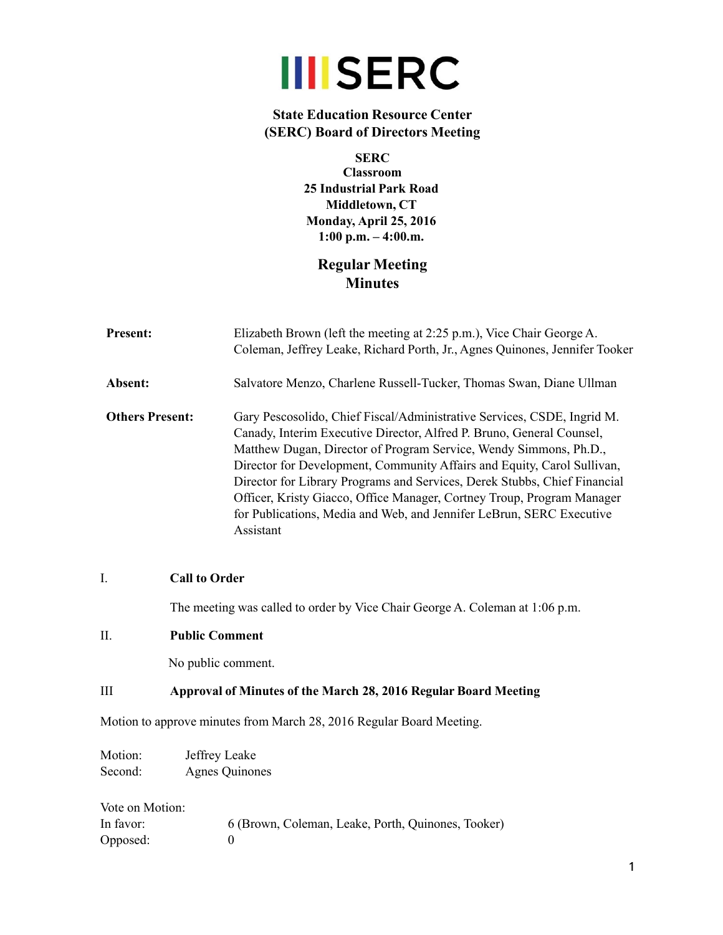

# **State Education Resource Center (SERC) Board of Directors Meeting**

**SERC Classroom 25 Industrial Park Road Middletown, CT Monday, April 25, 2016 1:00 p.m. – 4:00.m.**

# **Regular Meeting Minutes**

| <b>Present:</b>        | Elizabeth Brown (left the meeting at 2:25 p.m.), Vice Chair George A.<br>Coleman, Jeffrey Leake, Richard Porth, Jr., Agnes Quinones, Jennifer Tooker                                                                                                                                                                                                                                                                                                                                                                                         |
|------------------------|----------------------------------------------------------------------------------------------------------------------------------------------------------------------------------------------------------------------------------------------------------------------------------------------------------------------------------------------------------------------------------------------------------------------------------------------------------------------------------------------------------------------------------------------|
| Absent:                | Salvatore Menzo, Charlene Russell-Tucker, Thomas Swan, Diane Ullman                                                                                                                                                                                                                                                                                                                                                                                                                                                                          |
| <b>Others Present:</b> | Gary Pescosolido, Chief Fiscal/Administrative Services, CSDE, Ingrid M.<br>Canady, Interim Executive Director, Alfred P. Bruno, General Counsel,<br>Matthew Dugan, Director of Program Service, Wendy Simmons, Ph.D.,<br>Director for Development, Community Affairs and Equity, Carol Sullivan,<br>Director for Library Programs and Services, Derek Stubbs, Chief Financial<br>Officer, Kristy Giacco, Office Manager, Cortney Troup, Program Manager<br>for Publications, Media and Web, and Jennifer LeBrun, SERC Executive<br>Assistant |

## I. **Call to Order**

The meeting was called to order by Vice Chair George A. Coleman at 1:06 p.m.

# II. **Public Comment**

No public comment.

#### III **Approval of Minutes of the March 28, 2016 Regular Board Meeting**

Motion to approve minutes from March 28, 2016 Regular Board Meeting.

| Motion: | Jeffrey Leake         |
|---------|-----------------------|
| Second: | <b>Agnes Quinones</b> |

| Vote on Motion: |                                                    |
|-----------------|----------------------------------------------------|
| In favor:       | 6 (Brown, Coleman, Leake, Porth, Quinones, Tooker) |
| Opposed:        |                                                    |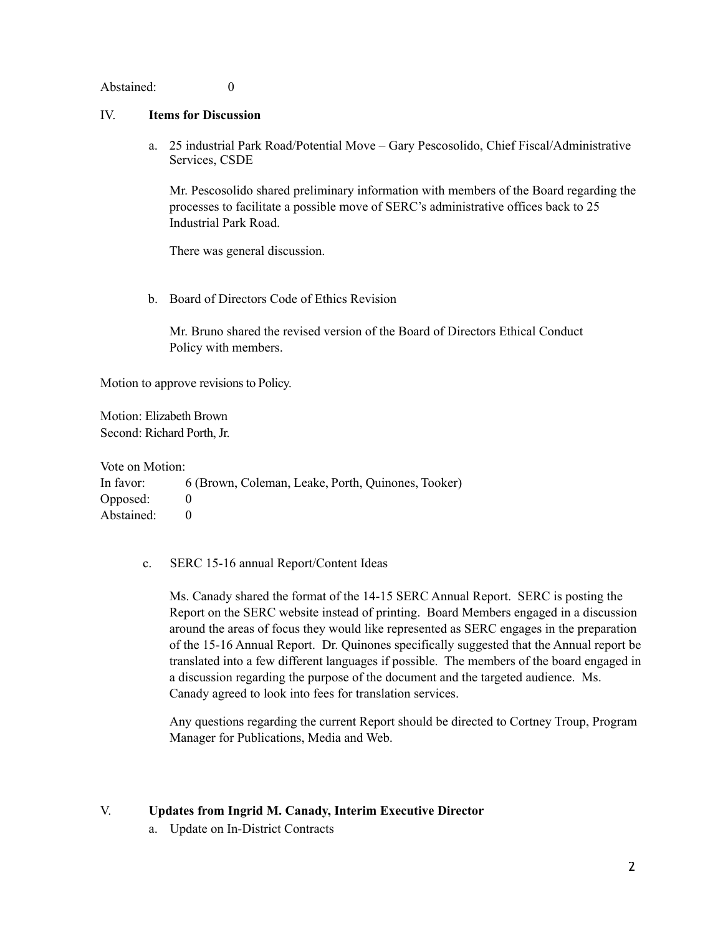Abstained: 0

#### IV. **Items for Discussion**

a. 25 industrial Park Road/Potential Move – Gary Pescosolido, Chief Fiscal/Administrative Services, CSDE

Mr. Pescosolido shared preliminary information with members of the Board regarding the processes to facilitate a possible move of SERC's administrative offices back to 25 Industrial Park Road.

There was general discussion.

b. Board of Directors Code of Ethics Revision

Mr. Bruno shared the revised version of the Board of Directors Ethical Conduct Policy with members.

Motion to approve revisions to Policy.

Motion: Elizabeth Brown Second: Richard Porth, Jr.

Vote on Motion: In favor: 6 (Brown, Coleman, Leake, Porth, Quinones, Tooker) Opposed: 0 Abstained: 0

#### c. SERC 15-16 annual Report/Content Ideas

Ms. Canady shared the format of the 14-15 SERC Annual Report. SERC is posting the Report on the SERC website instead of printing. Board Members engaged in a discussion around the areas of focus they would like represented as SERC engages in the preparation of the 15-16 Annual Report. Dr. Quinones specifically suggested that the Annual report be translated into a few different languages if possible. The members of the board engaged in a discussion regarding the purpose of the document and the targeted audience. Ms. Canady agreed to look into fees for translation services.

Any questions regarding the current Report should be directed to Cortney Troup, Program Manager for Publications, Media and Web.

# V. **Updates from Ingrid M. Canady, Interim Executive Director**

a. Update on In-District Contracts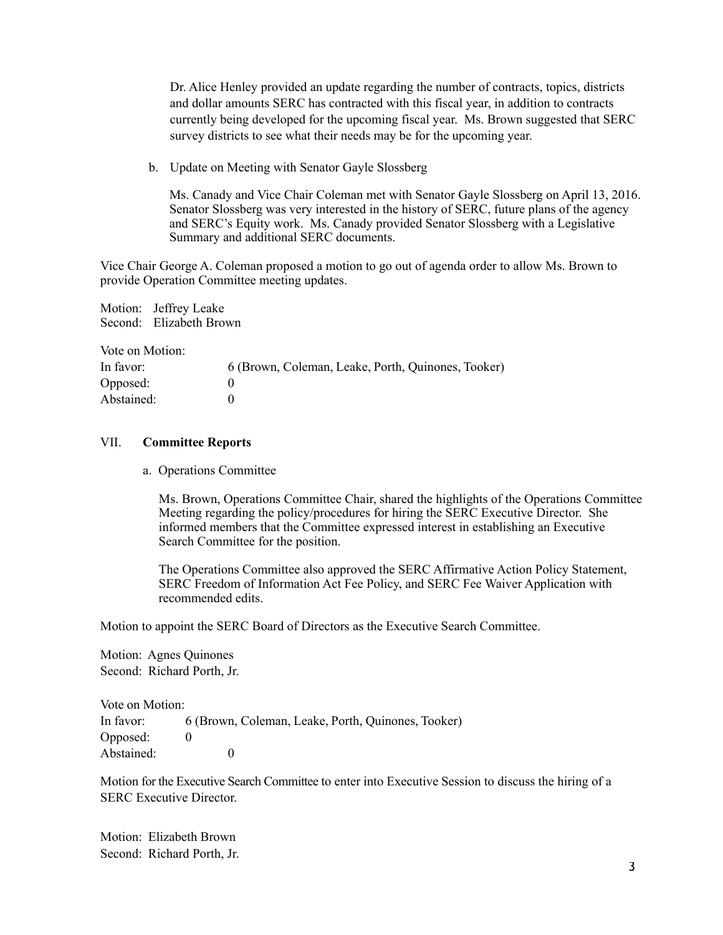Dr. Alice Henley provided an update regarding the number of contracts, topics, districts and dollar amounts SERC has contracted with this fiscal year, in addition to contracts currently being developed for the upcoming fiscal year. Ms. Brown suggested that SERC survey districts to see what their needs may be for the upcoming year.

b. Update on Meeting with Senator Gayle Slossberg

Ms. Canady and Vice Chair Coleman met with Senator Gayle Slossberg on April 13, 2016. Senator Slossberg was very interested in the history of SERC, future plans of the agency and SERC's Equity work. Ms. Canady provided Senator Slossberg with a Legislative Summary and additional SERC documents.

Vice Chair George A. Coleman proposed a motion to go out of agenda order to allow Ms. Brown to provide Operation Committee meeting updates.

Motion: Jeffrey Leake Second: Elizabeth Brown

Vote on Motion:

| In favor:  | 6 (Brown, Coleman, Leake, Porth, Quinones, Tooker) |
|------------|----------------------------------------------------|
| Opposed:   |                                                    |
| Abstained: |                                                    |

#### VII. **Committee Reports**

a. Operations Committee

Ms. Brown, Operations Committee Chair, shared the highlights of the Operations Committee Meeting regarding the policy/procedures for hiring the SERC Executive Director. She informed members that the Committee expressed interest in establishing an Executive Search Committee for the position.

The Operations Committee also approved the SERC Affirmative Action Policy Statement, SERC Freedom of Information Act Fee Policy, and SERC Fee Waiver Application with recommended edits.

Motion to appoint the SERC Board of Directors as the Executive Search Committee.

Motion: Agnes Quinones Second: Richard Porth, Jr.

Vote on Motion: In favor: 6 (Brown, Coleman, Leake, Porth, Quinones, Tooker) Opposed: 0 Abstained: 0

Motion for the Executive Search Committee to enter into Executive Session to discuss the hiring of a SERC Executive Director.

Motion: Elizabeth Brown Second: Richard Porth, Jr.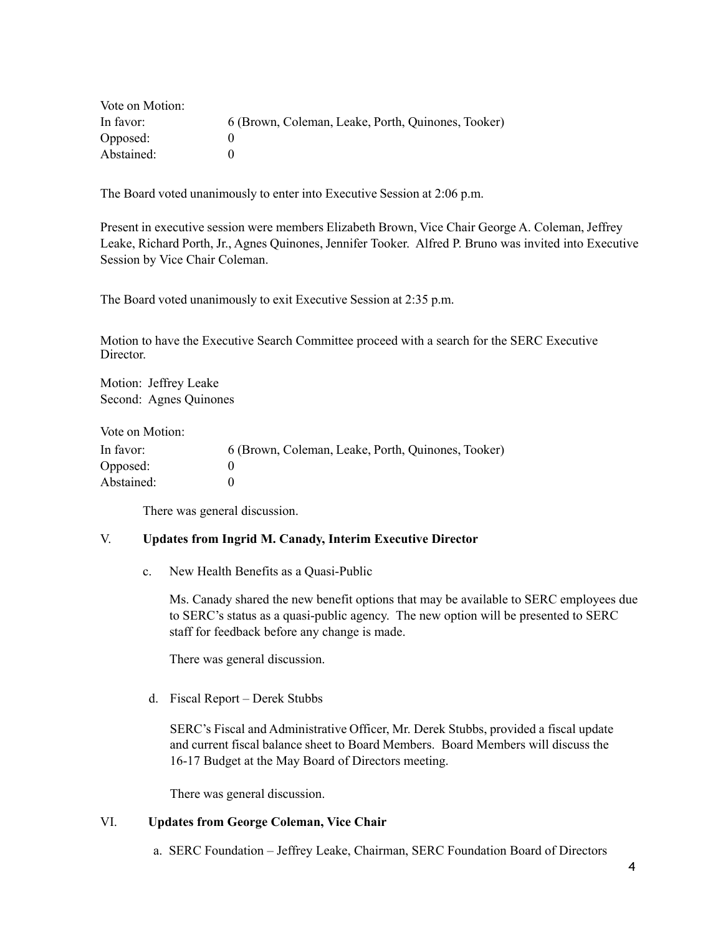| Vote on Motion: |                                                    |
|-----------------|----------------------------------------------------|
| In favor:       | 6 (Brown, Coleman, Leake, Porth, Quinones, Tooker) |
| Opposed:        |                                                    |
| Abstained:      |                                                    |

The Board voted unanimously to enter into Executive Session at 2:06 p.m.

Present in executive session were members Elizabeth Brown, Vice Chair George A. Coleman, Jeffrey Leake, Richard Porth, Jr., Agnes Quinones, Jennifer Tooker. Alfred P. Bruno was invited into Executive Session by Vice Chair Coleman.

The Board voted unanimously to exit Executive Session at 2:35 p.m.

Motion to have the Executive Search Committee proceed with a search for the SERC Executive Director.

Motion: Jeffrey Leake Second: Agnes Quinones

Vote on Motion:

| In favor:  | 6 (Brown, Coleman, Leake, Porth, Quinones, Tooker) |
|------------|----------------------------------------------------|
| Opposed:   |                                                    |
| Abstained: |                                                    |

There was general discussion.

#### V. **Updates from Ingrid M. Canady, Interim Executive Director**

c. New Health Benefits as a Quasi-Public

Ms. Canady shared the new benefit options that may be available to SERC employees due to SERC's status as a quasi-public agency. The new option will be presented to SERC staff for feedback before any change is made.

There was general discussion.

d. Fiscal Report – Derek Stubbs

SERC's Fiscal and Administrative Officer, Mr. Derek Stubbs, provided a fiscal update and current fiscal balance sheet to Board Members. Board Members will discuss the 16-17 Budget at the May Board of Directors meeting.

There was general discussion.

## VI. **Updates from George Coleman, Vice Chair**

a. SERC Foundation – Jeffrey Leake, Chairman, SERC Foundation Board of Directors